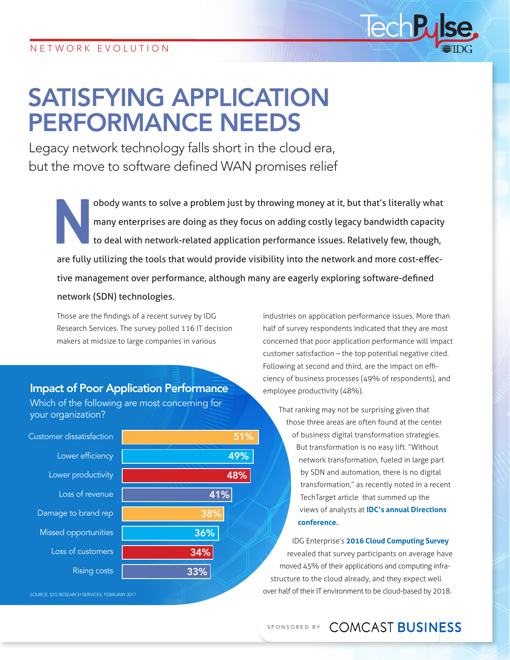# SATISFYING APPLICATION PERFORMANCE NEEDS

Legacy network technology falls short in the cloud era, but the move to software defined WAN promises relief

**Nobody wants to solve a problem just by throwing money at it, but that's literally what many enterprises are doing as they focus on adding costly legacy bandwidth capacity to deal with network-related application performa** many enterprises are doing as they focus on adding costly legacy bandwidth capacity to deal with network-related application performance issues. Relatively few, though, are fully utilizing the tools that would provide visibility into the network and more cost-effective management over performance, although many are eagerly exploring software-defined network (SDN) technologies.

Those are the findings of a recent survey by IDG Research Services. The survey polled 116 IT decision makers at midsize to large companies in various

#### Impact of Poor Application Performance

Which of the following are most concerning for your organization?

| <b>Customer dissatisfaction</b> | 51% |
|---------------------------------|-----|
| Lower efficiency                | 49% |
| Lower productivity              | 48% |
| Loss of revenue                 | 41% |
| Damage to brand rep             | 38% |
| Missed opportunities            | 36% |
| Loss of customers               | 34% |
| <b>Rising costs</b>             | 33% |
|                                 |     |

SOURCE: IDG RESEARCH SERVICES, FEBRUARY 2017

industries on application performance issues. More than half of survey respondents indicated that they are most concerned that poor application performance will impact customer satisfaction – the top potential negative cited. Following at second and third, are the impact on efficiency of business processes (49% of respondents), and employee productivity (48%).

lech

That ranking may not be surprising given that those three areas are often found at the center of business digital transformation strategies. But transformation is no easy lift. "Without network transformation, fueled in large part by SDN and automation, there is no digital transformation," as recently noted in a recent TechTarget article that summed up the views of analysts at **[IDC's annual Directions](http://searchsdn.techtarget.com/news/450414876/SDN-fuels-the-network-transformation-needed-for-digital-shift)  [conference.](http://searchsdn.techtarget.com/news/450414876/SDN-fuels-the-network-transformation-needed-for-digital-shift)**

IDG Enterprise's **[2016 Cloud Computing Survey](http://www.computerworld.com/article/3138527/cloud-computing/cloud-adoption-keeps-moving-ahead-survey-says.html)** revealed that survey participants on average have moved 45% of their applications and computing infrastructure to the cloud already, and they expect well over half of their IT environment to be cloud-based by 2018.

## SPONSORED BY COMCAST BUSINESS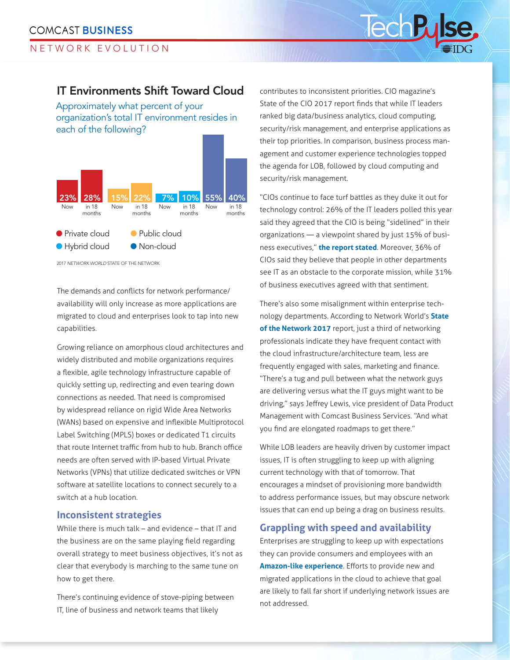## NETWORK EVOLUTION

## IT Environments Shift Toward Cloud

Approximately what percent of your organization's total IT environment resides in each of the following?



2017 *NETWORK WORLD* STATE OF THE NETWORK

The demands and conflicts for network performance/ availability will only increase as more applications are migrated to cloud and enterprises look to tap into new capabilities.

Growing reliance on amorphous cloud architectures and widely distributed and mobile organizations requires a flexible, agile technology infrastructure capable of quickly setting up, redirecting and even tearing down connections as needed. That need is compromised by widespread reliance on rigid Wide Area Networks (WANs) based on expensive and inflexible Multiprotocol Label Switching (MPLS) boxes or dedicated T1 circuits that route Internet traffic from hub to hub. Branch office needs are often served with IP-based Virtual Private Networks (VPNs) that utilize dedicated switches or VPN software at satellite locations to connect securely to a switch at a hub location.

#### **Inconsistent strategies**

While there is much talk – and evidence – that IT and the business are on the same playing field regarding overall strategy to meet business objectives, it's not as clear that everybody is marching to the same tune on how to get there.

There's continuing evidence of stove-piping between IT, line of business and network teams that likely

contributes to inconsistent priorities. CIO magazine's State of the CIO 2017 report finds that while IT leaders ranked big data/business analytics, cloud computing, security/risk management, and enterprise applications as their top priorities. In comparison, business process management and customer experience technologies topped the agenda for LOB, followed by cloud computing and security/risk management.

"CIOs continue to face turf battles as they duke it out for technology control: 26% of the IT leaders polled this year said they agreed that the CIO is being "sidelined" in their organizations — a viewpoint shared by just 15% of business executives," **[the report stated](http://www.cio.com/article/3162718/cio-role/state-of-the-cio-2017-the-new-reality.html?nsdr=true&page=2)**. Moreover, 36% of CIOs said they believe that people in other departments see IT as an obstacle to the corporate mission, while 31% of business executives agreed with that sentiment.

There's also some misalignment within enterprise technology departments. According to Network World's **[State](http://www.networkworld.com/article/3029165/cloud-computing/network-world-annual-state-of-the-network-survey-results.html)  [of the Network 2017](http://www.networkworld.com/article/3029165/cloud-computing/network-world-annual-state-of-the-network-survey-results.html)** report, just a third of networking professionals indicate they have frequent contact with the cloud infrastructure/architecture team, less are frequently engaged with sales, marketing and finance. "There's a tug and pull between what the network guys are delivering versus what the IT guys might want to be driving," says Jeffrey Lewis, vice president of Data Product Management with Comcast Business Services. "And what you find are elongated roadmaps to get there."

While LOB leaders are heavily driven by customer impact issues, IT is often struggling to keep up with aligning current technology with that of tomorrow. That encourages a mindset of provisioning more bandwidth to address performance issues, but may obscure network issues that can end up being a drag on business results.

#### **Grappling with speed and availability**

Enterprises are struggling to keep up with expectations they can provide consumers and employees with an **[Amazon-like experience](https://www.skyword.com/contentstandard/creativity/why-healthcare-marketing-will-soon-feel-the-amazon-effect/)**. Efforts to provide new and migrated applications in the cloud to achieve that goal are likely to fall far short if underlying network issues are not addressed.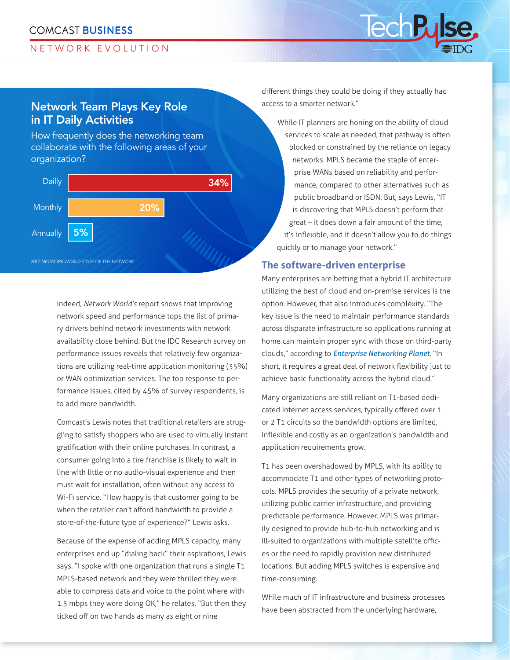#### **COMCAST BUSINESS**

#### NETWORK EVOLUTION

# Network Team Plays Key Role in IT Daily Activities

How frequently does the networking team collaborate with the following areas of your organization?



Indeed, *Network World's* report shows that improving network speed and performance tops the list of primary drivers behind network investments with network availability close behind. But the IDC Research survey on performance issues reveals that relatively few organizations are utilizing real-time application monitoring (35%) or WAN optimization services. The top response to performance issues, cited by 45% of survey respondents, is to add more bandwidth.

Comcast's Lewis notes that traditional retailers are struggling to satisfy shoppers who are used to virtually instant gratification with their online purchases. In contrast, a consumer going into a tire franchise is likely to wait in line with little or no audio-visual experience and then must wait for installation, often without any access to Wi-Fi service. "How happy is that customer going to be when the retailer can't afford bandwidth to provide a store-of-the-future type of experience?" Lewis asks.

Because of the expense of adding MPLS capacity, many enterprises end up "dialing back" their aspirations, Lewis says. "I spoke with one organization that runs a single T1 MPLS-based network and they were thrilled they were able to compress data and voice to the point where with 1.5 mbps they were doing OK," he relates. "But then they ticked off on two hands as many as eight or nine

different things they could be doing if they actually had access to a smarter network."

lech B

While IT planners are honing on the ability of cloud services to scale as needed, that pathway is often blocked or constrained by the reliance on legacy networks. MPLS became the staple of enterprise WANs based on reliability and performance, compared to other alternatives such as public broadband or ISDN. But, says Lewis, "IT is discovering that MPLS doesn't perform that great – it does down a fair amount of the time, it's inflexible, and it doesn't allow you to do things quickly or to manage your network."

#### **The software-driven enterprise**

Many enterprises are betting that a hybrid IT architecture utilizing the best of cloud and on-premise services is the option. However, that also introduces complexity. "The key issue is the need to maintain performance standards across disparate infrastructure so applications running at home can maintain proper sync with those on third-party clouds," according to *[Enterprise Networking Planet](http://www.enterprisenetworkingplanet.com/datacenter/datacenter-blog/how-sdn-will-deliver-on-the-hybrid-cloud.html)*. "In short, it requires a great deal of network flexibility just to achieve basic functionality across the hybrid cloud."

Many organizations are still reliant on T1-based dedicated Internet access services, typically offered over 1 or 2 T1 circuits so the bandwidth options are limited, inflexible and costly as an organization's bandwidth and application requirements grow.

T1 has been overshadowed by MPLS, with its ability to accommodate T1 and other types of networking protocols. MPLS provides the security of a private network, utilizing public carrier infrastructure, and providing predictable performance. However, MPLS was primarily designed to provide hub-to-hub networking and is ill-suited to organizations with multiple satellite offices or the need to rapidly provision new distributed locations. But adding MPLS switches is expensive and time-consuming.

While much of IT infrastructure and business processes have been abstracted from the underlying hardware,